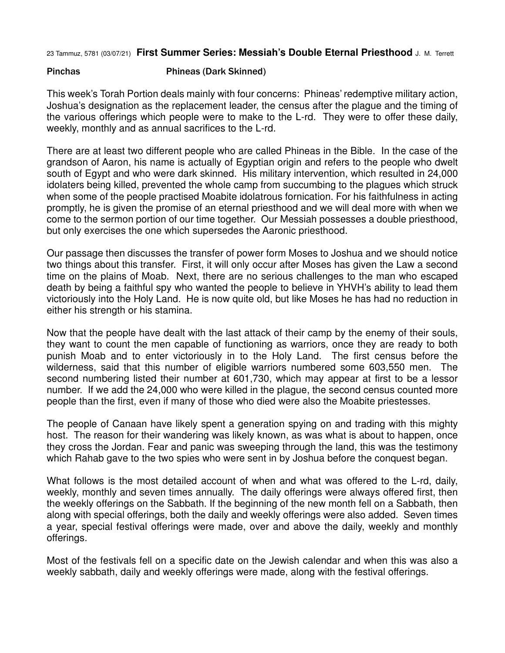23 Tammuz, 5781 (03/07/21) **First Summer Series: Messiah's Double Eternal Priesthood** J. M. Terrett

## Pinchas Phineas (Dark Skinned)

This week's Torah Portion deals mainly with four concerns: Phineas' redemptive military action, Joshua's designation as the replacement leader, the census after the plague and the timing of the various offerings which people were to make to the L-rd. They were to offer these daily, weekly, monthly and as annual sacrifices to the L-rd.

There are at least two different people who are called Phineas in the Bible. In the case of the grandson of Aaron, his name is actually of Egyptian origin and refers to the people who dwelt south of Egypt and who were dark skinned. His military intervention, which resulted in 24,000 idolaters being killed, prevented the whole camp from succumbing to the plagues which struck when some of the people practised Moabite idolatrous fornication. For his faithfulness in acting promptly, he is given the promise of an eternal priesthood and we will deal more with when we come to the sermon portion of our time together. Our Messiah possesses a double priesthood, but only exercises the one which supersedes the Aaronic priesthood.

Our passage then discusses the transfer of power form Moses to Joshua and we should notice two things about this transfer. First, it will only occur after Moses has given the Law a second time on the plains of Moab. Next, there are no serious challenges to the man who escaped death by being a faithful spy who wanted the people to believe in YHVH's ability to lead them victoriously into the Holy Land. He is now quite old, but like Moses he has had no reduction in either his strength or his stamina.

Now that the people have dealt with the last attack of their camp by the enemy of their souls, they want to count the men capable of functioning as warriors, once they are ready to both punish Moab and to enter victoriously in to the Holy Land. The first census before the wilderness, said that this number of eligible warriors numbered some 603,550 men. The second numbering listed their number at 601,730, which may appear at first to be a lessor number. If we add the 24,000 who were killed in the plague, the second census counted more people than the first, even if many of those who died were also the Moabite priestesses.

The people of Canaan have likely spent a generation spying on and trading with this mighty host. The reason for their wandering was likely known, as was what is about to happen, once they cross the Jordan. Fear and panic was sweeping through the land, this was the testimony which Rahab gave to the two spies who were sent in by Joshua before the conquest began.

What follows is the most detailed account of when and what was offered to the L-rd, daily, weekly, monthly and seven times annually. The daily offerings were always offered first, then the weekly offerings on the Sabbath. If the beginning of the new month fell on a Sabbath, then along with special offerings, both the daily and weekly offerings were also added. Seven times a year, special festival offerings were made, over and above the daily, weekly and monthly offerings.

Most of the festivals fell on a specific date on the Jewish calendar and when this was also a weekly sabbath, daily and weekly offerings were made, along with the festival offerings.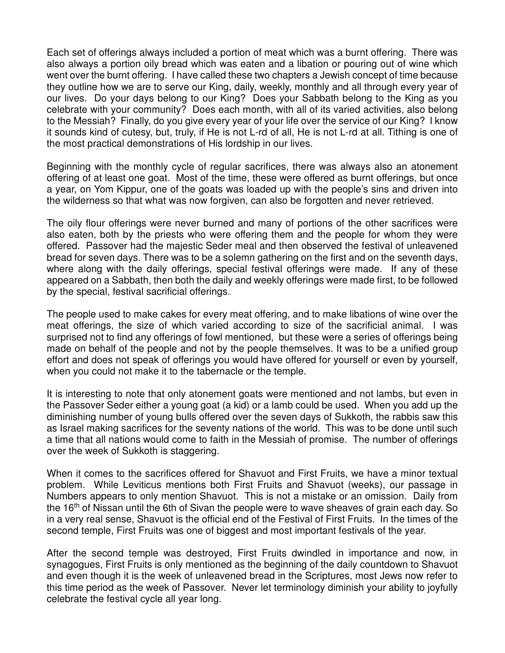Each set of offerings always included a portion of meat which was a burnt offering. There was also always a portion oily bread which was eaten and a libation or pouring out of wine which went over the burnt offering. I have called these two chapters a Jewish concept of time because they outline how we are to serve our King, daily, weekly, monthly and all through every year of our lives. Do your days belong to our King? Does your Sabbath belong to the King as you celebrate with your community? Does each month, with all of its varied activities, also belong to the Messiah? Finally, do you give every year of your life over the service of our King? I know it sounds kind of cutesy, but, truly, if He is not L-rd of all, He is not L-rd at all. Tithing is one of the most practical demonstrations of His lordship in our lives.

Beginning with the monthly cycle of regular sacrifices, there was always also an atonement offering of at least one goat. Most of the time, these were offered as burnt offerings, but once a year, on Yom Kippur, one of the goats was loaded up with the people's sins and driven into the wilderness so that what was now forgiven, can also be forgotten and never retrieved.

The oily flour offerings were never burned and many of portions of the other sacrifices were also eaten, both by the priests who were offering them and the people for whom they were offered. Passover had the majestic Seder meal and then observed the festival of unleavened bread for seven days. There was to be a solemn gathering on the first and on the seventh days, where along with the daily offerings, special festival offerings were made. If any of these appeared on a Sabbath, then both the daily and weekly offerings were made first, to be followed by the special, festival sacrificial offerings.

The people used to make cakes for every meat offering, and to make libations of wine over the meat offerings, the size of which varied according to size of the sacrificial animal. I was surprised not to find any offerings of fowl mentioned, but these were a series of offerings being made on behalf of the people and not by the people themselves. It was to be a unified group effort and does not speak of offerings you would have offered for yourself or even by yourself, when you could not make it to the tabernacle or the temple.

It is interesting to note that only atonement goats were mentioned and not lambs, but even in the Passover Seder either a young goat (a kid) or a lamb could be used. When you add up the diminishing number of young bulls offered over the seven days of Sukkoth, the rabbis saw this as Israel making sacrifices for the seventy nations of the world. This was to be done until such a time that all nations would come to faith in the Messiah of promise. The number of offerings over the week of Sukkoth is staggering.

When it comes to the sacrifices offered for Shavuot and First Fruits, we have a minor textual problem. While Leviticus mentions both First Fruits and Shavuot (weeks), our passage in Numbers appears to only mention Shavuot. This is not a mistake or an omission. Daily from the 16<sup>th</sup> of Nissan until the 6th of Sivan the people were to wave sheaves of grain each day. So in a very real sense, Shavuot is the official end of the Festival of First Fruits. In the times of the second temple, First Fruits was one of biggest and most important festivals of the year.

After the second temple was destroyed, First Fruits dwindled in importance and now, in synagogues, First Fruits is only mentioned as the beginning of the daily countdown to Shavuot and even though it is the week of unleavened bread in the Scriptures, most Jews now refer to this time period as the week of Passover. Never let terminology diminish your ability to joyfully celebrate the festival cycle all year long.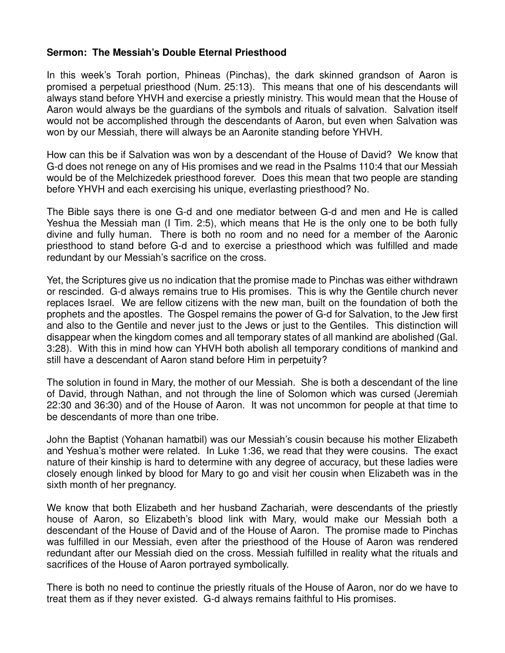## **Sermon: The Messiah's Double Eternal Priesthood**

In this week's Torah portion, Phineas (Pinchas), the dark skinned grandson of Aaron is promised a perpetual priesthood (Num. 25:13). This means that one of his descendants will always stand before YHVH and exercise a priestly ministry. This would mean that the House of Aaron would always be the guardians of the symbols and rituals of salvation. Salvation itself would not be accomplished through the descendants of Aaron, but even when Salvation was won by our Messiah, there will always be an Aaronite standing before YHVH.

How can this be if Salvation was won by a descendant of the House of David? We know that G-d does not renege on any of His promises and we read in the Psalms 110:4 that our Messiah would be of the Melchizedek priesthood forever. Does this mean that two people are standing before YHVH and each exercising his unique, everlasting priesthood? No.

The Bible says there is one G-d and one mediator between G-d and men and He is called Yeshua the Messiah man (I Tim. 2:5), which means that He is the only one to be both fully divine and fully human. There is both no room and no need for a member of the Aaronic priesthood to stand before G-d and to exercise a priesthood which was fulfilled and made redundant by our Messiah's sacrifice on the cross.

Yet, the Scriptures give us no indication that the promise made to Pinchas was either withdrawn or rescinded. G-d always remains true to His promises. This is why the Gentile church never replaces Israel. We are fellow citizens with the new man, built on the foundation of both the prophets and the apostles. The Gospel remains the power of G-d for Salvation, to the Jew first and also to the Gentile and never just to the Jews or just to the Gentiles. This distinction will disappear when the kingdom comes and all temporary states of all mankind are abolished (Gal. 3:28). With this in mind how can YHVH both abolish all temporary conditions of mankind and still have a descendant of Aaron stand before Him in perpetuity?

The solution in found in Mary, the mother of our Messiah. She is both a descendant of the line of David, through Nathan, and not through the line of Solomon which was cursed (Jeremiah 22:30 and 36:30) and of the House of Aaron. It was not uncommon for people at that time to be descendants of more than one tribe.

John the Baptist (Yohanan hamatbil) was our Messiah's cousin because his mother Elizabeth and Yeshua's mother were related. In Luke 1:36, we read that they were cousins. The exact nature of their kinship is hard to determine with any degree of accuracy, but these ladies were closely enough linked by blood for Mary to go and visit her cousin when Elizabeth was in the sixth month of her pregnancy.

We know that both Elizabeth and her husband Zachariah, were descendants of the priestly house of Aaron, so Elizabeth's blood link with Mary, would make our Messiah both a descendant of the House of David and of the House of Aaron. The promise made to Pinchas was fulfilled in our Messiah, even after the priesthood of the House of Aaron was rendered redundant after our Messiah died on the cross. Messiah fulfilled in reality what the rituals and sacrifices of the House of Aaron portrayed symbolically.

There is both no need to continue the priestly rituals of the House of Aaron, nor do we have to treat them as if they never existed. G-d always remains faithful to His promises.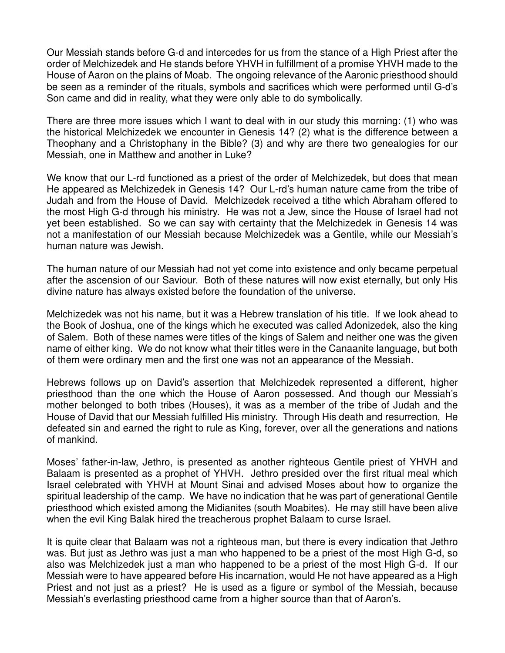Our Messiah stands before G-d and intercedes for us from the stance of a High Priest after the order of Melchizedek and He stands before YHVH in fulfillment of a promise YHVH made to the House of Aaron on the plains of Moab. The ongoing relevance of the Aaronic priesthood should be seen as a reminder of the rituals, symbols and sacrifices which were performed until G-d's Son came and did in reality, what they were only able to do symbolically.

There are three more issues which I want to deal with in our study this morning: (1) who was the historical Melchizedek we encounter in Genesis 14? (2) what is the difference between a Theophany and a Christophany in the Bible? (3) and why are there two genealogies for our Messiah, one in Matthew and another in Luke?

We know that our L-rd functioned as a priest of the order of Melchizedek, but does that mean He appeared as Melchizedek in Genesis 14? Our L-rd's human nature came from the tribe of Judah and from the House of David. Melchizedek received a tithe which Abraham offered to the most High G-d through his ministry. He was not a Jew, since the House of Israel had not yet been established. So we can say with certainty that the Melchizedek in Genesis 14 was not a manifestation of our Messiah because Melchizedek was a Gentile, while our Messiah's human nature was Jewish.

The human nature of our Messiah had not yet come into existence and only became perpetual after the ascension of our Saviour. Both of these natures will now exist eternally, but only His divine nature has always existed before the foundation of the universe.

Melchizedek was not his name, but it was a Hebrew translation of his title. If we look ahead to the Book of Joshua, one of the kings which he executed was called Adonizedek, also the king of Salem. Both of these names were titles of the kings of Salem and neither one was the given name of either king. We do not know what their titles were in the Canaanite language, but both of them were ordinary men and the first one was not an appearance of the Messiah.

Hebrews follows up on David's assertion that Melchizedek represented a different, higher priesthood than the one which the House of Aaron possessed. And though our Messiah's mother belonged to both tribes (Houses), it was as a member of the tribe of Judah and the House of David that our Messiah fulfilled His ministry. Through His death and resurrection, He defeated sin and earned the right to rule as King, forever, over all the generations and nations of mankind.

Moses' father-in-law, Jethro, is presented as another righteous Gentile priest of YHVH and Balaam is presented as a prophet of YHVH. Jethro presided over the first ritual meal which Israel celebrated with YHVH at Mount Sinai and advised Moses about how to organize the spiritual leadership of the camp. We have no indication that he was part of generational Gentile priesthood which existed among the Midianites (south Moabites). He may still have been alive when the evil King Balak hired the treacherous prophet Balaam to curse Israel.

It is quite clear that Balaam was not a righteous man, but there is every indication that Jethro was. But just as Jethro was just a man who happened to be a priest of the most High G-d, so also was Melchizedek just a man who happened to be a priest of the most High G-d. If our Messiah were to have appeared before His incarnation, would He not have appeared as a High Priest and not just as a priest? He is used as a figure or symbol of the Messiah, because Messiah's everlasting priesthood came from a higher source than that of Aaron's.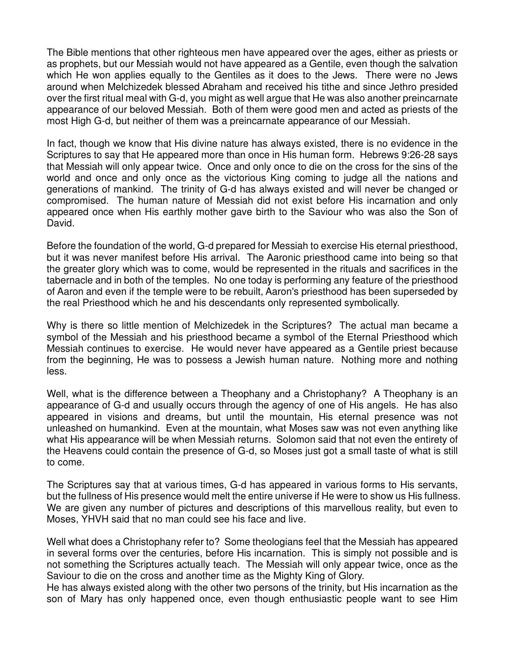The Bible mentions that other righteous men have appeared over the ages, either as priests or as prophets, but our Messiah would not have appeared as a Gentile, even though the salvation which He won applies equally to the Gentiles as it does to the Jews. There were no Jews around when Melchizedek blessed Abraham and received his tithe and since Jethro presided over the first ritual meal with G-d, you might as well argue that He was also another preincarnate appearance of our beloved Messiah. Both of them were good men and acted as priests of the most High G-d, but neither of them was a preincarnate appearance of our Messiah.

In fact, though we know that His divine nature has always existed, there is no evidence in the Scriptures to say that He appeared more than once in His human form. Hebrews 9:26-28 says that Messiah will only appear twice. Once and only once to die on the cross for the sins of the world and once and only once as the victorious King coming to judge all the nations and generations of mankind. The trinity of G-d has always existed and will never be changed or compromised. The human nature of Messiah did not exist before His incarnation and only appeared once when His earthly mother gave birth to the Saviour who was also the Son of David.

Before the foundation of the world, G-d prepared for Messiah to exercise His eternal priesthood, but it was never manifest before His arrival. The Aaronic priesthood came into being so that the greater glory which was to come, would be represented in the rituals and sacrifices in the tabernacle and in both of the temples. No one today is performing any feature of the priesthood of Aaron and even if the temple were to be rebuilt, Aaron's priesthood has been superseded by the real Priesthood which he and his descendants only represented symbolically.

Why is there so little mention of Melchizedek in the Scriptures? The actual man became a symbol of the Messiah and his priesthood became a symbol of the Eternal Priesthood which Messiah continues to exercise. He would never have appeared as a Gentile priest because from the beginning, He was to possess a Jewish human nature. Nothing more and nothing less.

Well, what is the difference between a Theophany and a Christophany? A Theophany is an appearance of G-d and usually occurs through the agency of one of His angels. He has also appeared in visions and dreams, but until the mountain, His eternal presence was not unleashed on humankind. Even at the mountain, what Moses saw was not even anything like what His appearance will be when Messiah returns. Solomon said that not even the entirety of the Heavens could contain the presence of G-d, so Moses just got a small taste of what is still to come.

The Scriptures say that at various times, G-d has appeared in various forms to His servants, but the fullness of His presence would melt the entire universe if He were to show us His fullness. We are given any number of pictures and descriptions of this marvellous reality, but even to Moses, YHVH said that no man could see his face and live.

Well what does a Christophany refer to? Some theologians feel that the Messiah has appeared in several forms over the centuries, before His incarnation. This is simply not possible and is not something the Scriptures actually teach. The Messiah will only appear twice, once as the Saviour to die on the cross and another time as the Mighty King of Glory.

He has always existed along with the other two persons of the trinity, but His incarnation as the son of Mary has only happened once, even though enthusiastic people want to see Him